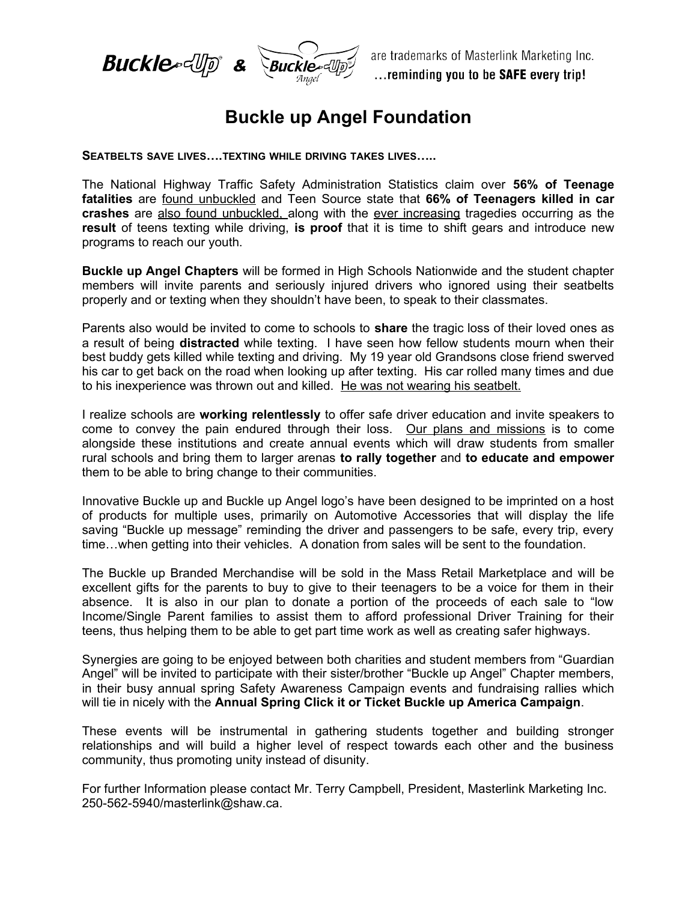

## **Buckle up Angel Foundation**

**SEATBELTS SAVE LIVES….TEXTING WHILE DRIVING TAKES LIVES…..**

The National Highway Traffic Safety Administration Statistics claim over **56% of Teenage fatalities** are found unbuckled and Teen Source state that **66% of Teenagers killed in car crashes** are also found unbuckled, along with the ever increasing tragedies occurring as the **result** of teens texting while driving, **is proof** that it is time to shift gears and introduce new programs to reach our youth.

**Buckle up Angel Chapters** will be formed in High Schools Nationwide and the student chapter members will invite parents and seriously injured drivers who ignored using their seatbelts properly and or texting when they shouldn't have been, to speak to their classmates.

Parents also would be invited to come to schools to **share** the tragic loss of their loved ones as a result of being **distracted** while texting. I have seen how fellow students mourn when their best buddy gets killed while texting and driving. My 19 year old Grandsons close friend swerved his car to get back on the road when looking up after texting. His car rolled many times and due to his inexperience was thrown out and killed. He was not wearing his seatbelt.

I realize schools are **working relentlessly** to offer safe driver education and invite speakers to come to convey the pain endured through their loss. Our plans and missions is to come alongside these institutions and create annual events which will draw students from smaller rural schools and bring them to larger arenas **to rally together** and **to educate and empower** them to be able to bring change to their communities.

Innovative Buckle up and Buckle up Angel logo's have been designed to be imprinted on a host of products for multiple uses, primarily on Automotive Accessories that will display the life saving "Buckle up message" reminding the driver and passengers to be safe, every trip, every time…when getting into their vehicles. A donation from sales will be sent to the foundation.

The Buckle up Branded Merchandise will be sold in the Mass Retail Marketplace and will be excellent gifts for the parents to buy to give to their teenagers to be a voice for them in their absence. It is also in our plan to donate a portion of the proceeds of each sale to "low Income/Single Parent families to assist them to afford professional Driver Training for their teens, thus helping them to be able to get part time work as well as creating safer highways.

Synergies are going to be enjoyed between both charities and student members from "Guardian Angel" will be invited to participate with their sister/brother "Buckle up Angel" Chapter members, in their busy annual spring Safety Awareness Campaign events and fundraising rallies which will tie in nicely with the **Annual Spring Click it or Ticket Buckle up America Campaign**.

These events will be instrumental in gathering students together and building stronger relationships and will build a higher level of respect towards each other and the business community, thus promoting unity instead of disunity.

For further Information please contact Mr. Terry Campbell, President, Masterlink Marketing Inc. 250-562-5940/masterlink@shaw.ca.